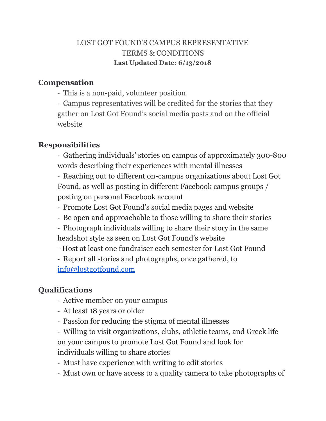## LOST GOT FOUND'S CAMPUS REPRESENTATIVE TERMS & CONDITIONS **Last Updated Date: 6/13/2018**

### **Compensation**

- This is a non-paid, volunteer position

- Campus representatives will be credited for the stories that they gather on Lost Got Found's social media posts and on the official website

## **Responsibilities**

- Gathering individuals' stories on campus of approximately 300-800 words describing their experiences with mental illnesses

- Reaching out to different on-campus organizations about Lost Got Found, as well as posting in different Facebook campus groups / posting on personal Facebook account

- Promote Lost Got Found's social media pages and website
- Be open and approachable to those willing to share their stories
- Photograph individuals willing to share their story in the same headshot style as seen on Lost Got Found's website
- Host at least one fundraiser each semester for Lost Got Found
- Report all stories and photographs, once gathered, to [info@lostgotfound.com](mailto:info@lostgotfound.com)

# **Qualifications**

- Active member on your campus
- At least 18 years or older
- Passion for reducing the stigma of mental illnesses

- Willing to visit organizations, clubs, athletic teams, and Greek life on your campus to promote Lost Got Found and look for individuals willing to share stories

- Must have experience with writing to edit stories
- Must own or have access to a quality camera to take photographs of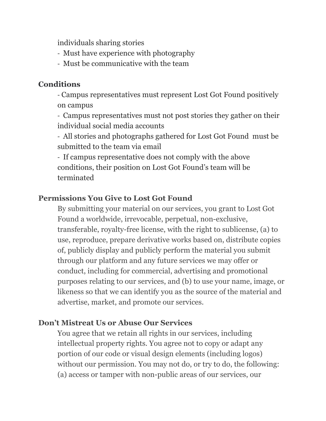individuals sharing stories

- Must have experience with photography
- Must be communicative with the team

### **Conditions**

- Campus representatives must represent Lost Got Found positively on campus

- Campus representatives must not post stories they gather on their individual social media accounts

- All stories and photographs gathered for Lost Got Found must be submitted to the team via email

- If campus representative does not comply with the above conditions, their position on Lost Got Found's team will be terminated

## **Permissions You Give to Lost Got Found**

By submitting your material on our services, you grant to Lost Got Found a worldwide, irrevocable, perpetual, non-exclusive, transferable, royalty-free license, with the right to sublicense, (a) to use, reproduce, prepare derivative works based on, distribute copies of, publicly display and publicly perform the material you submit through our platform and any future services we may offer or conduct, including for commercial, advertising and promotional purposes relating to our services, and (b) to use your name, image, or likeness so that we can identify you as the source of the material and advertise, market, and promote our services.

### **Don't Mistreat Us or Abuse Our Services**

You agree that we retain all rights in our services, including intellectual property rights. You agree not to copy or adapt any portion of our code or visual design elements (including logos) without our permission. You may not do, or try to do, the following: (a) access or tamper with non-public areas of our services, our